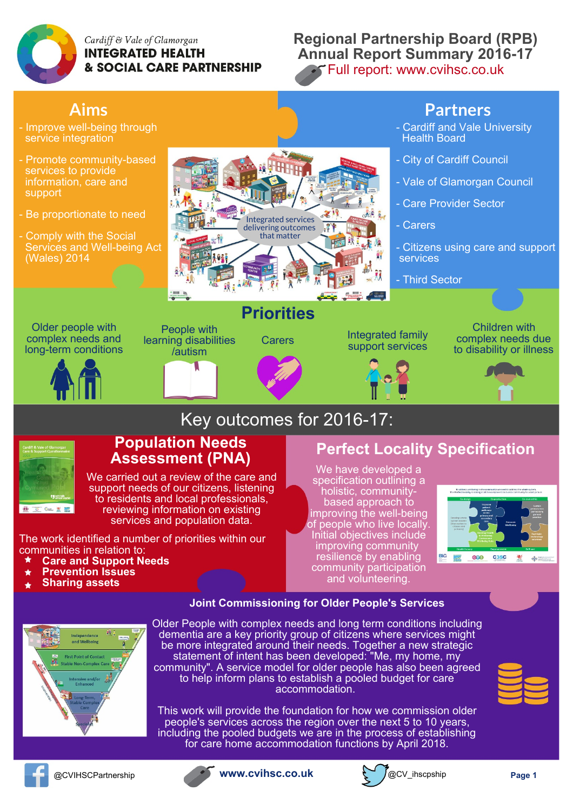

Cardiff & Vale of Glamorgan **INTEGRATED HEALTH & SOCIAL CARE PARTNERSHIP** 

## **Regional Partnership Board (RPB) Annual Report Summary 2016-17** Full report: [www.cvihsc.co.uk](http://www.cvihsc.co.uk/rpb-annual-report-published/)





**Joint [Commissioning](http://www.cvihsc.co.uk/our-priorities/older-people/) for Older People's Services**

Older People with complex needs and long term conditions including dementia are a key priority group of citizens where services might be more integrated around their needs. Together a new strategic statement of intent has been developed: "Me, my home, my community". A service model for older people has also been agreed to help inform plans to establish a pooled budget for care accommodation.

This work will provide the foundation for how we commission older people's services across the region over the next 5 to 10 years, including the pooled budgets we are in the process of establishing for care home accommodation functions by April 2018.





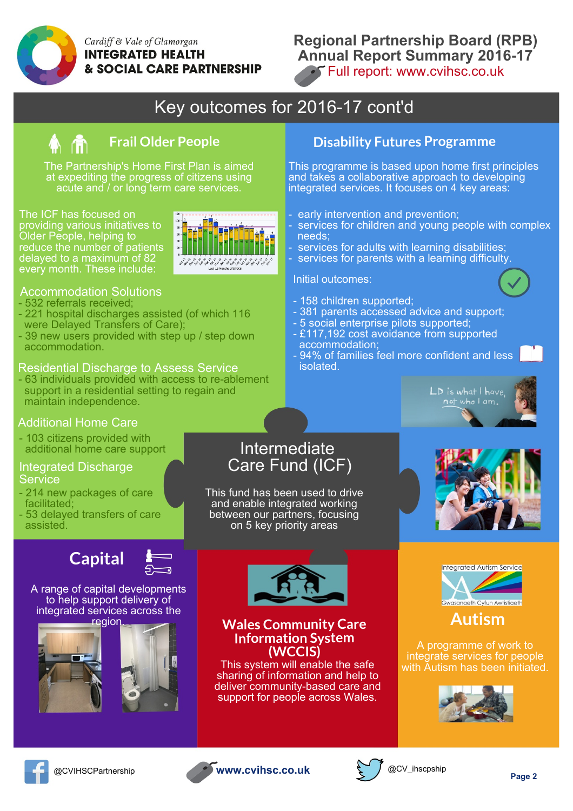

### Cardiff & Vale of Glamorgan **INTEGRATED HEALTH & SOCIAL CARE PARTNERSHIP**

## **Regional Partnership Board (RPB) Annual Report Summary 2016-17 Full report: [www.cvihsc.co.uk](http://www.cvihsc.co.uk/rpb-annual-report-published/)**

# Key outcomes for 2016-17 cont'd



The Partnership's Home First Plan is aimed at expediting the progress of citizens using acute and / or long term care services.

The ICF has focused on providing various initiatives to Older People, helping to reduce the number of patients delayed to a maximum of 82 every month. These include:



#### Accommodation Solutions

- 532 referrals received;
- 221 hospital discharges assisted (of which 116 were Delayed Transfers of Care);
- 39 new users provided with step up / step down accommodation.

#### Residential Discharge to Assess Service

- 63 individuals provided with access to re-ablement support in a residential setting to regain and maintain independence.

#### Additional Home Care

- 103 citizens provided with additional home care support

#### Integrated Discharge **Service**

- 214 new packages of care facilitated;
- 53 delayed transfers of care assisted.



#### A range of capital developments to help support delivery of integrated services across the region.







### **Wales Community Care Information System (WCCIS)**

This system will enable the safe sharing of information and help to deliver community-based care and support for people across Wales.

## **Frail Older People Disability Futures Programme**

This programme is based upon home first principles and takes a collaborative approach to developing integrated services. It focuses on 4 key areas:

- early intervention and prevention;
- services for children and young people with complex needs;
- services for adults with learning disabilities;
- services for parents with a learning difficulty.

#### Initial outcomes:

- 158 children supported;
- 381 parents accessed advice and support;
- 5 social enterprise pilots supported;
- £117,192 cost avoidance from supported accommodation;
- 94% of families feel more confident and less isolated.



# Intermediate Care Fund (ICF)

This fund has been used to drive and enable integrated working between our partners, focusing on 5 key priority areas





**Autism**

A programme of work to integrate services for people with Autism has been initiated.